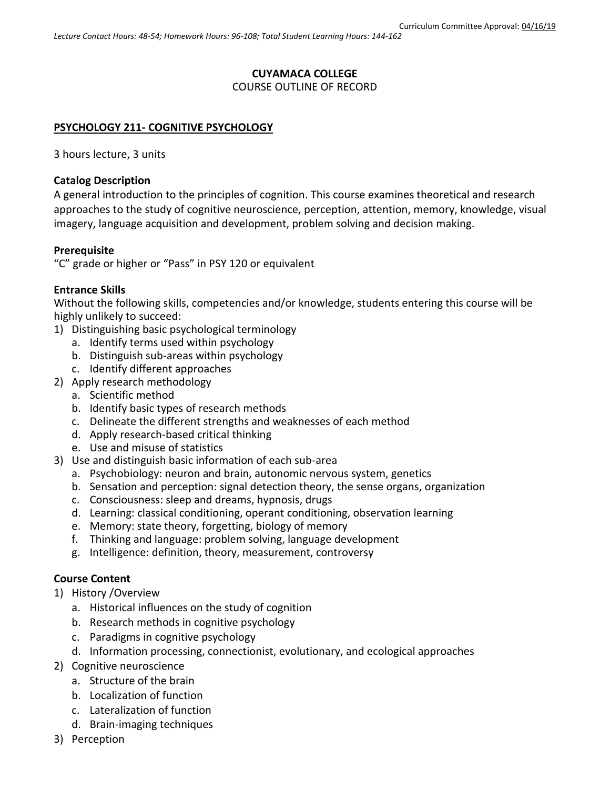## **CUYAMACA COLLEGE**

### COURSE OUTLINE OF RECORD

### **PSYCHOLOGY 211- COGNITIVE PSYCHOLOGY**

3 hours lecture, 3 units

### **Catalog Description**

A general introduction to the principles of cognition. This course examines theoretical and research approaches to the study of cognitive neuroscience, perception, attention, memory, knowledge, visual imagery, language acquisition and development, problem solving and decision making.

#### **Prerequisite**

"C" grade or higher or "Pass" in PSY 120 or equivalent

### **Entrance Skills**

Without the following skills, competencies and/or knowledge, students entering this course will be highly unlikely to succeed:

- 1) Distinguishing basic psychological terminology
	- a. Identify terms used within psychology
	- b. Distinguish sub-areas within psychology
	- c. Identify different approaches
- 2) Apply research methodology
	- a. Scientific method
	- b. Identify basic types of research methods
	- c. Delineate the different strengths and weaknesses of each method
	- d. Apply research-based critical thinking
	- e. Use and misuse of statistics
- 3) Use and distinguish basic information of each sub-area
	- a. Psychobiology: neuron and brain, autonomic nervous system, genetics
	- b. Sensation and perception: signal detection theory, the sense organs, organization
	- c. Consciousness: sleep and dreams, hypnosis, drugs
	- d. Learning: classical conditioning, operant conditioning, observation learning
	- e. Memory: state theory, forgetting, biology of memory
	- f. Thinking and language: problem solving, language development
	- g. Intelligence: definition, theory, measurement, controversy

### **Course Content**

- 1) History /Overview
	- a. Historical influences on the study of cognition
	- b. Research methods in cognitive psychology
	- c. Paradigms in cognitive psychology
	- d. Information processing, connectionist, evolutionary, and ecological approaches
- 2) Cognitive neuroscience
	- a. Structure of the brain
	- b. Localization of function
	- c. Lateralization of function
	- d. Brain-imaging techniques
- 3) Perception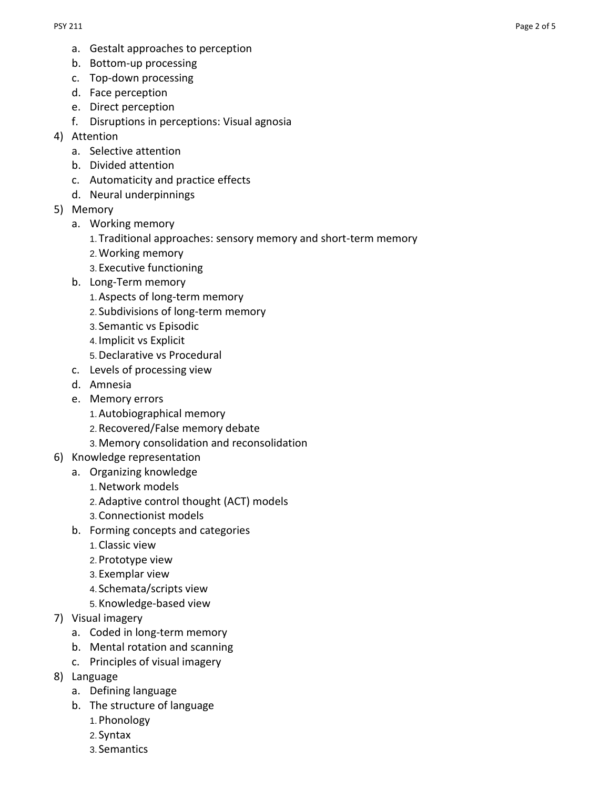- a. Gestalt approaches to perception
- b. Bottom-up processing
- c. Top-down processing
- d. Face perception
- e. Direct perception
- f. Disruptions in perceptions: Visual agnosia
- 4) Attention
	- a. Selective attention
	- b. Divided attention
	- c. Automaticity and practice effects
	- d. Neural underpinnings
- 5) Memory
	- a. Working memory
		- 1.Traditional approaches: sensory memory and short-term memory
		- 2.Working memory
		- 3.Executive functioning
	- b. Long-Term memory
		- 1.Aspects of long-term memory
		- 2. Subdivisions of long-term memory
		- 3. Semantic vs Episodic
		- 4. Implicit vs Explicit
		- 5.Declarative vs Procedural
	- c. Levels of processing view
	- d. Amnesia
	- e. Memory errors
		- 1.Autobiographical memory
		- 2.Recovered/False memory debate
		- 3.Memory consolidation and reconsolidation
- 6) Knowledge representation
	- a. Organizing knowledge
		- 1.Network models
		- 2.Adaptive control thought (ACT) models
		- 3.Connectionist models
		- b. Forming concepts and categories
			- 1.Classic view
			- 2.Prototype view
			- 3.Exemplar view
			- 4. Schemata/scripts view
			- 5.Knowledge-based view
- 7) Visual imagery
	- a. Coded in long-term memory
	- b. Mental rotation and scanning
	- c. Principles of visual imagery
- 8) Language
	- a. Defining language
	- b. The structure of language
		- 1.Phonology
		- 2. Syntax
		- 3. Semantics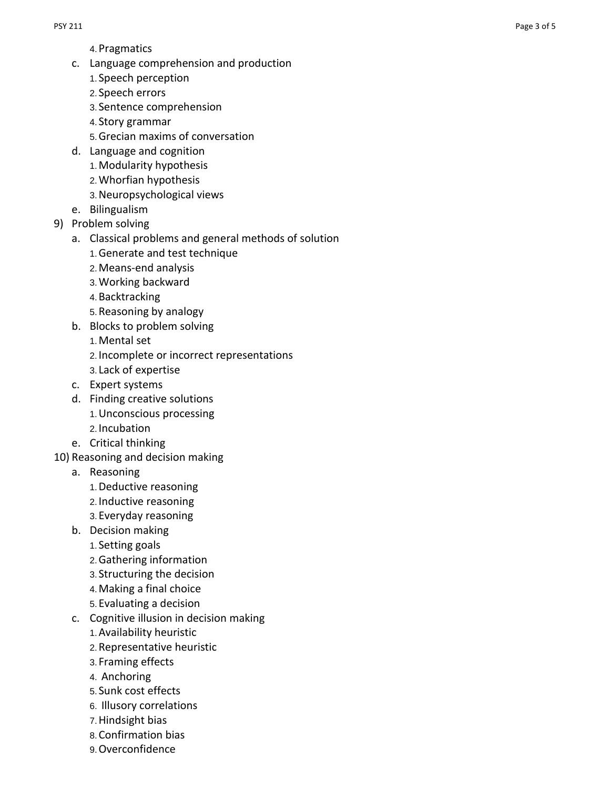- 4.Pragmatics
- c. Language comprehension and production
	- 1. Speech perception
	- 2. Speech errors
	- 3. Sentence comprehension
	- 4. Story grammar
	- 5.Grecian maxims of conversation
- d. Language and cognition
	- 1.Modularity hypothesis
	- 2.Whorfian hypothesis
	- 3.Neuropsychological views
- e. Bilingualism
- 9) Problem solving
	- a. Classical problems and general methods of solution
		- 1.Generate and test technique
		- 2.Means -end analysis
		- 3.Working backward
		- 4.Backtracking
		- 5.Reasoning by analogy
	- b. Blocks to problem solving
		- 1.Mental set
		- 2. Incomplete or incorrect representations
		- 3. Lack of expertise
	- c. Expert systems
	- d. Finding creative solutions
		- 1.Unconscious processing
		- 2. Incubation
	- e. Critical thinking
- 10) Reasoning and decision making
	- a. Reasoning
		- 1.Deductive reasoning
		- 2. Inductive reasoning
		- 3.Everyday reasoning
	- b. Decision making
		- 1. Setting goals
		- 2.Gathering information
		- 3. Structuring the decision
		- 4.Making a final choice
		- 5.Evaluating a decision
	- c. Cognitive illusion in decision making
		- 1.Availability heuristic
		- 2.Representative heuristic
		- 3. Framing effects
		- 4. Anchoring
		- 5. Sunk cost effects
		- 6. Illusory correlations
		- 7.Hindsight bias
		- 8.Confirmation bias
		- 9.Overconfidence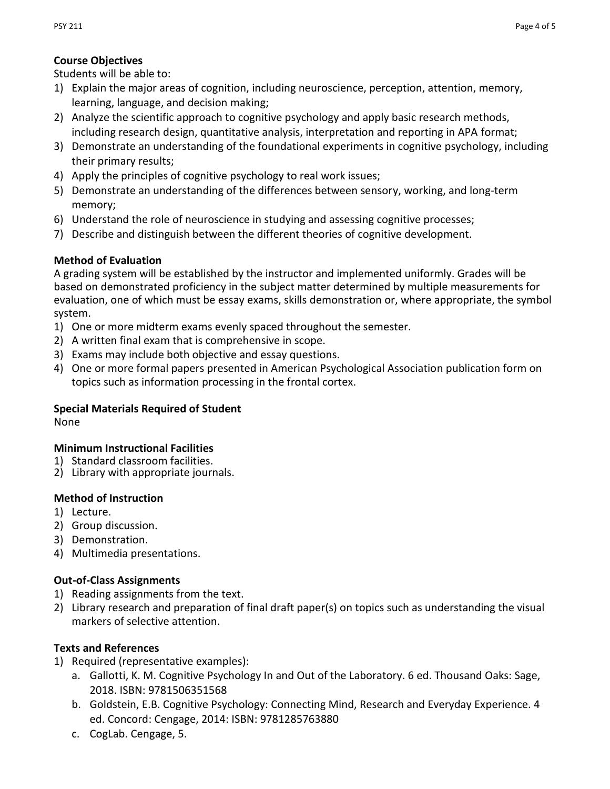## **Course Objectives**

Students will be able to:

- 1) Explain the major areas of cognition, including neuroscience, perception, attention, memory, learning, language, and decision making;
- 2) Analyze the scientific approach to cognitive psychology and apply basic research methods, including research design, quantitative analysis, interpretation and reporting in APA format;
- 3) Demonstrate an understanding of the foundational experiments in cognitive psychology, including their primary results;
- 4) Apply the principles of cognitive psychology to real work issues;
- 5) Demonstrate an understanding of the differences between sensory, working, and long-term memory;
- 6) Understand the role of neuroscience in studying and assessing cognitive processes;
- 7) Describe and distinguish between the different theories of cognitive development.

## **Method of Evaluation**

A grading system will be established by the instructor and implemented uniformly. Grades will be based on demonstrated proficiency in the subject matter determined by multiple measurements for evaluation, one of which must be essay exams, skills demonstration or, where appropriate, the symbol system.

- 1) One or more midterm exams evenly spaced throughout the semester.
- 2) A written final exam that is comprehensive in scope.
- 3) Exams may include both objective and essay questions.
- 4) One or more formal papers presented in American Psychological Association publication form on topics such as information processing in the frontal cortex.

# **Special Materials Required of Student**

None

## **Minimum Instructional Facilities**

- 1) Standard classroom facilities.
- 2) Library with appropriate journals.

## **Method of Instruction**

- 1) Lecture.
- 2) Group discussion.
- 3) Demonstration.
- 4) Multimedia presentations.

## **Out-of-Class Assignments**

- 1) Reading assignments from the text.
- 2) Library research and preparation of final draft paper(s) on topics such as understanding the visual markers of selective attention.

# **Texts and References**

- 1) Required (representative examples):
	- a. Gallotti, K. M. Cognitive Psychology In and Out of the Laboratory. 6 ed. Thousand Oaks: Sage, 2018. ISBN: 9781506351568
	- b. Goldstein, E.B. Cognitive Psychology: Connecting Mind, Research and Everyday Experience. 4 ed. Concord: Cengage, 2014: ISBN: 9781285763880
	- c. CogLab. Cengage, 5.